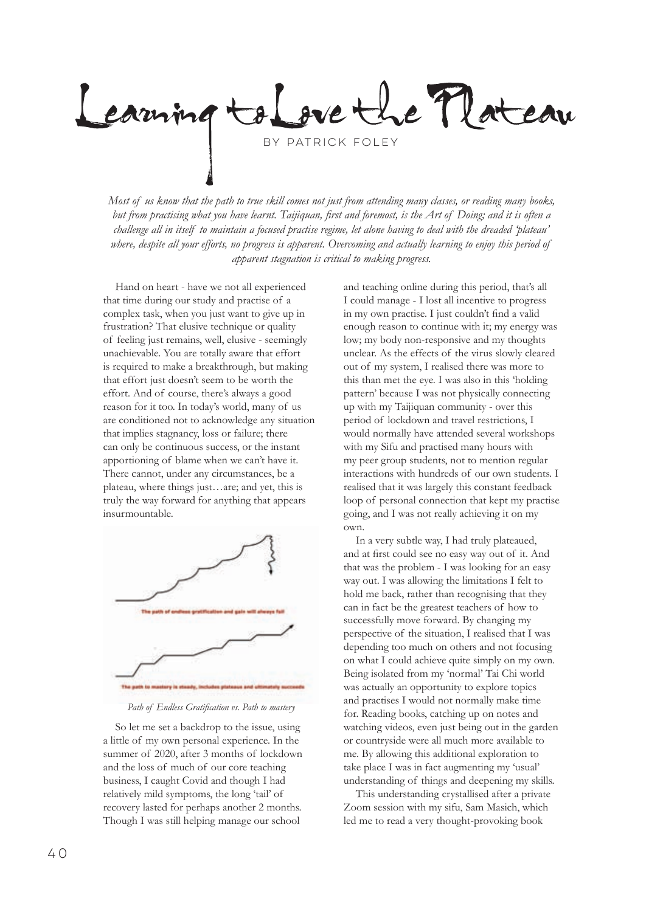Le Mateau  $e$ + by Patrick Foley

*Most of us know that the path to true skill comes not just from attending many classes, or reading many books, but from practising what you have learnt. Taijiquan, first and foremost, is the Art of Doing; and it is often a challenge all in itself to maintain a focused practise regime, let alone having to deal with the dreaded 'plateau'*  where, despite all your efforts, no progress is apparent. Overcoming and actually learning to enjoy this period of *apparent stagnation is critical to making progress.*

Hand on heart - have we not all experienced that time during our study and practise of a complex task, when you just want to give up in frustration? That elusive technique or quality of feeling just remains, well, elusive - seemingly unachievable. You are totally aware that effort is required to make a breakthrough, but making that effort just doesn't seem to be worth the effort. And of course, there's always a good reason for it too. In today's world, many of us are conditioned not to acknowledge any situation that implies stagnancy, loss or failure; there can only be continuous success, or the instant apportioning of blame when we can't have it. There cannot, under any circumstances, be a plateau, where things just…are; and yet, this is truly the way forward for anything that appears insurmountable.



*Path of Endless Gratification vs. Path to mastery*

So let me set a backdrop to the issue, using a little of my own personal experience. In the summer of 2020, after 3 months of lockdown and the loss of much of our core teaching business, I caught Covid and though I had relatively mild symptoms, the long 'tail' of recovery lasted for perhaps another 2 months. Though I was still helping manage our school

and teaching online during this period, that's all I could manage - I lost all incentive to progress in my own practise. I just couldn't find a valid enough reason to continue with it; my energy was low; my body non-responsive and my thoughts unclear. As the effects of the virus slowly cleared out of my system, I realised there was more to this than met the eye. I was also in this 'holding pattern' because I was not physically connecting up with my Taijiquan community - over this period of lockdown and travel restrictions, I would normally have attended several workshops with my Sifu and practised many hours with my peer group students, not to mention regular interactions with hundreds of our own students. I realised that it was largely this constant feedback loop of personal connection that kept my practise going, and I was not really achieving it on my own.

In a very subtle way, I had truly plateaued, and at first could see no easy way out of it. And that was the problem - I was looking for an easy way out. I was allowing the limitations I felt to hold me back, rather than recognising that they can in fact be the greatest teachers of how to successfully move forward. By changing my perspective of the situation, I realised that I was depending too much on others and not focusing on what I could achieve quite simply on my own. Being isolated from my 'normal' Tai Chi world was actually an opportunity to explore topics and practises I would not normally make time for. Reading books, catching up on notes and watching videos, even just being out in the garden or countryside were all much more available to me. By allowing this additional exploration to take place I was in fact augmenting my 'usual' understanding of things and deepening my skills.

This understanding crystallised after a private Zoom session with my sifu, Sam Masich, which led me to read a very thought-provoking book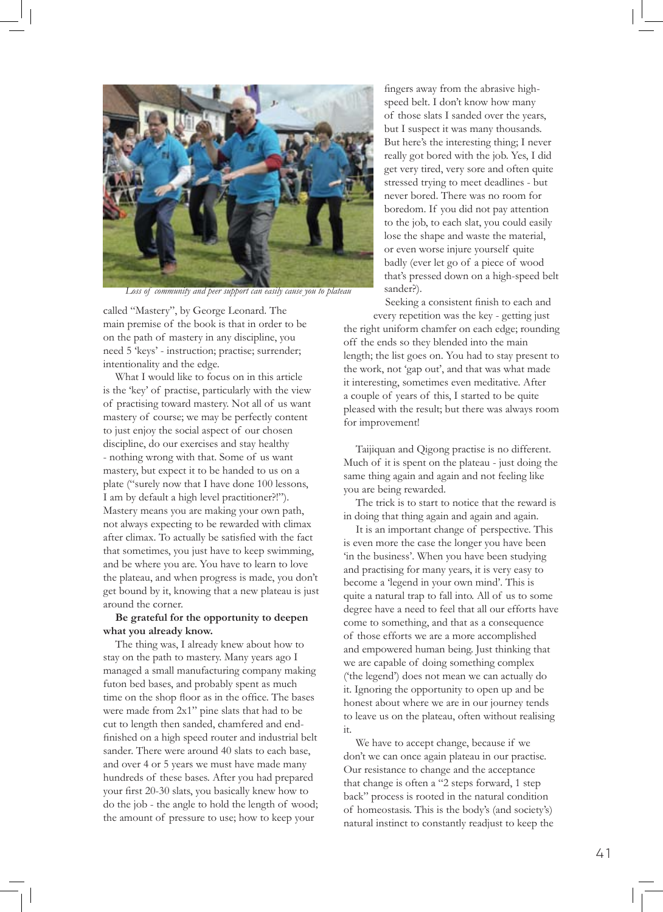

*Loss of community and peer support can easily cause you to plateau*

called "Mastery", by George Leonard. The main premise of the book is that in order to be on the path of mastery in any discipline, you need 5 'keys' - instruction; practise; surrender; intentionality and the edge.

What I would like to focus on in this article is the 'key' of practise, particularly with the view of practising toward mastery. Not all of us want mastery of course; we may be perfectly content to just enjoy the social aspect of our chosen discipline, do our exercises and stay healthy - nothing wrong with that. Some of us want mastery, but expect it to be handed to us on a plate ("surely now that I have done 100 lessons, I am by default a high level practitioner?!"). Mastery means you are making your own path, not always expecting to be rewarded with climax after climax. To actually be satisfied with the fact that sometimes, you just have to keep swimming, and be where you are. You have to learn to love the plateau, and when progress is made, you don't get bound by it, knowing that a new plateau is just around the corner.

## **Be grateful for the opportunity to deepen what you already know.**

The thing was, I already knew about how to stay on the path to mastery. Many years ago I managed a small manufacturing company making futon bed bases, and probably spent as much time on the shop floor as in the office. The bases were made from 2x1" pine slats that had to be cut to length then sanded, chamfered and endfinished on a high speed router and industrial belt sander. There were around 40 slats to each base, and over 4 or 5 years we must have made many hundreds of these bases. After you had prepared your first 20-30 slats, you basically knew how to do the job - the angle to hold the length of wood; the amount of pressure to use; how to keep your

fingers away from the abrasive highspeed belt. I don't know how many of those slats I sanded over the years, but I suspect it was many thousands. But here's the interesting thing; I never really got bored with the job. Yes, I did get very tired, very sore and often quite stressed trying to meet deadlines - but never bored. There was no room for boredom. If you did not pay attention to the job, to each slat, you could easily lose the shape and waste the material, or even worse injure yourself quite badly (ever let go of a piece of wood that's pressed down on a high-speed belt sander?).

Seeking a consistent finish to each and every repetition was the key - getting just the right uniform chamfer on each edge; rounding off the ends so they blended into the main length; the list goes on. You had to stay present to the work, not 'gap out', and that was what made it interesting, sometimes even meditative. After a couple of years of this, I started to be quite pleased with the result; but there was always room for improvement!

Taijiquan and Qigong practise is no different. Much of it is spent on the plateau - just doing the same thing again and again and not feeling like you are being rewarded.

The trick is to start to notice that the reward is in doing that thing again and again and again.

It is an important change of perspective. This is even more the case the longer you have been 'in the business'. When you have been studying and practising for many years, it is very easy to become a 'legend in your own mind'. This is quite a natural trap to fall into. All of us to some degree have a need to feel that all our efforts have come to something, and that as a consequence of those efforts we are a more accomplished and empowered human being. Just thinking that we are capable of doing something complex ('the legend') does not mean we can actually do it. Ignoring the opportunity to open up and be honest about where we are in our journey tends to leave us on the plateau, often without realising it.

We have to accept change, because if we don't we can once again plateau in our practise. Our resistance to change and the acceptance that change is often a "2 steps forward, 1 step back" process is rooted in the natural condition of homeostasis. This is the body's (and society's) natural instinct to constantly readjust to keep the